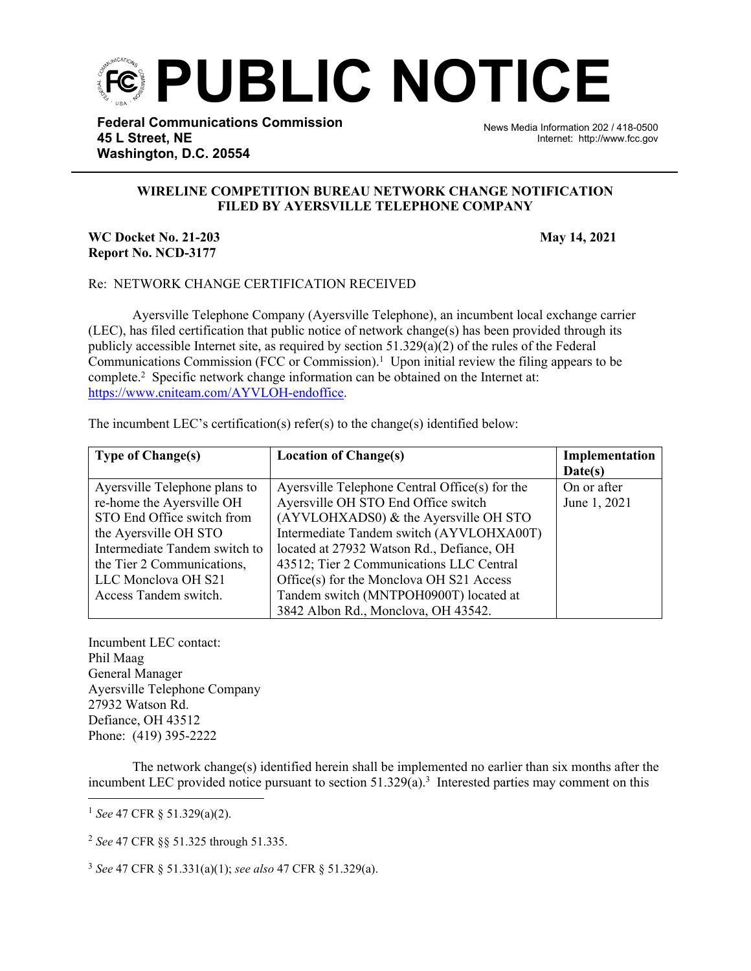

**Federal Communications Commission 45 L Street, NE Washington, D.C. 20554**

News Media Information 202 / 418-0500 Internet: http://www.fcc.gov

## **WIRELINE COMPETITION BUREAU NETWORK CHANGE NOTIFICATION FILED BY AYERSVILLE TELEPHONE COMPANY**

j

## **WC Docket No. 21-203 May 14, 2021 Report No. NCD-3177**

## Re: NETWORK CHANGE CERTIFICATION RECEIVED

Ayersville Telephone Company (Ayersville Telephone), an incumbent local exchange carrier (LEC), has filed certification that public notice of network change(s) has been provided through its publicly accessible Internet site, as required by section  $51.329(a)(2)$  of the rules of the Federal Communications Commission (FCC or Commission).<sup>1</sup> Upon initial review the filing appears to be complete.<sup>2</sup> Specific network change information can be obtained on the Internet at: <https://www.cniteam.com/AYVLOH-endoffice>.

The incumbent LEC's certification(s) refer(s) to the change(s) identified below:

| <b>Type of Change(s)</b>      | <b>Location of Change(s)</b>                   | Implementation |
|-------------------------------|------------------------------------------------|----------------|
|                               |                                                | Date(s)        |
| Ayersville Telephone plans to | Ayersville Telephone Central Office(s) for the | On or after    |
| re-home the Ayersville OH     | Ayersville OH STO End Office switch            | June 1, 2021   |
| STO End Office switch from    | (AYVLOHXADS0) & the Ayersville OH STO          |                |
| the Ayersville OH STO         | Intermediate Tandem switch (AYVLOHXA00T)       |                |
| Intermediate Tandem switch to | located at 27932 Watson Rd., Defiance, OH      |                |
| the Tier 2 Communications,    | 43512; Tier 2 Communications LLC Central       |                |
| LLC Monclova OH S21           | Office(s) for the Monclova OH S21 Access       |                |
| Access Tandem switch.         | Tandem switch (MNTPOH0900T) located at         |                |
|                               | 3842 Albon Rd., Monclova, OH 43542.            |                |

Incumbent LEC contact: Phil Maag General Manager Ayersville Telephone Company 27932 Watson Rd. Defiance, OH 43512 Phone: (419) 395-2222

The network change(s) identified herein shall be implemented no earlier than six months after the incumbent LEC provided notice pursuant to section 51.329(a).<sup>3</sup> Interested parties may comment on this

<sup>1</sup> *See* 47 CFR § 51.329(a)(2).

<sup>2</sup> *See* 47 CFR §§ 51.325 through 51.335.

<sup>3</sup> *See* 47 CFR § 51.331(a)(1); *see also* 47 CFR § 51.329(a).